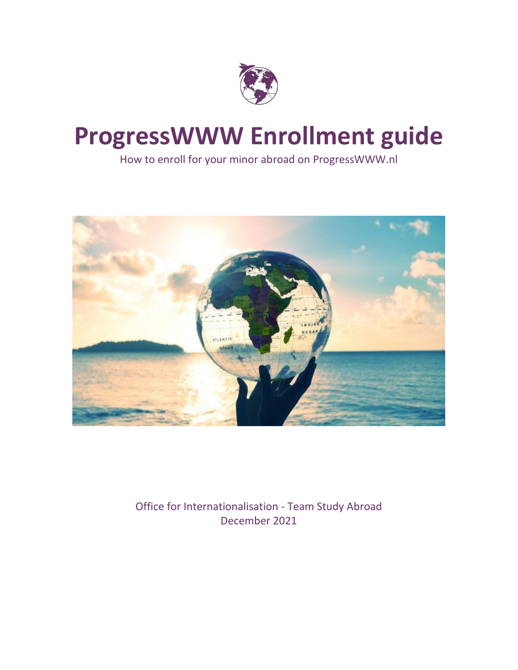

# **ProgressWWW Enrollment guide**

How to enroll for your minor abroad on ProgressWWW.nl



Office for Internationalisation - Team Study Abroad December 2021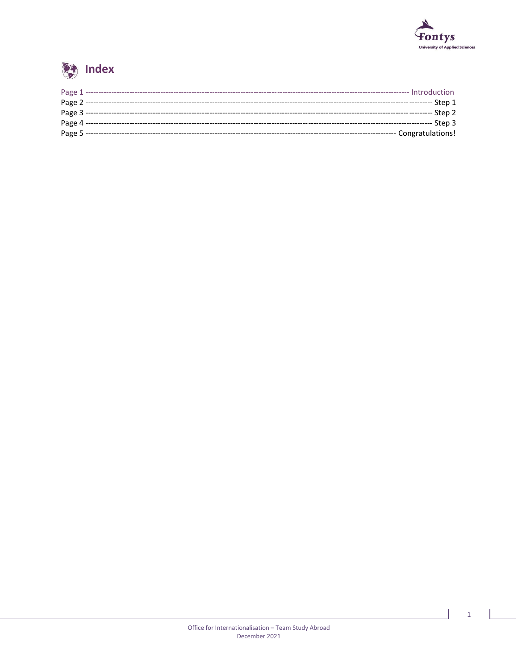



| Page 1 -------- | ---- Introduction      |
|-----------------|------------------------|
|                 | ----- Step 1           |
|                 | Step 2                 |
|                 | --- Step 3             |
|                 |                        |
|                 | ----- Congratulations! |

 $\mathbf 1$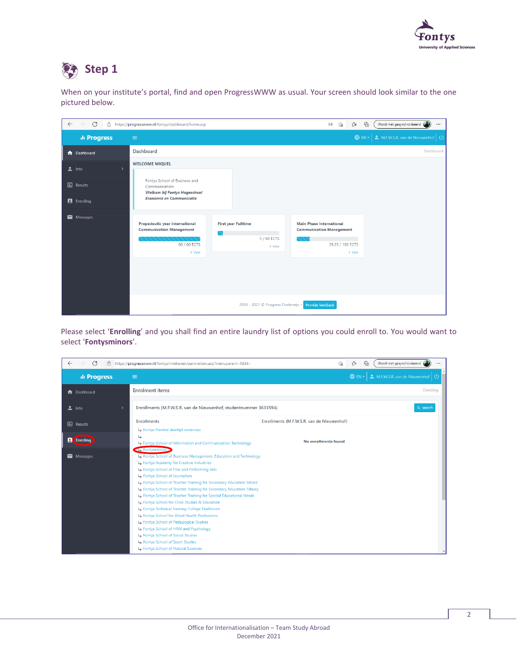

### Step 1

When on your institute's portal, find and open ProgressWWW as usual. Your screen should look similar to the one pictured below.

| $\mathcal{C}$<br>$\rightarrow$<br>ô<br>$\leftarrow$ | https://progresswww.nl/fontys/dashboard/home.asp                                              |                                                     | ⊕<br>ร′ิ≡<br>аŵ<br>సం                                                                            | Wordt niet gesynchroniseerd<br>$\cdots$ |
|-----------------------------------------------------|-----------------------------------------------------------------------------------------------|-----------------------------------------------------|--------------------------------------------------------------------------------------------------|-----------------------------------------|
| ili Progress                                        | $\equiv$                                                                                      |                                                     | <b>O</b> EN -                                                                                    | M.F.W.S.R. van de Nieuwenhof   U        |
| <b>n</b> Dashboard                                  | <b>Dashboard</b>                                                                              |                                                     |                                                                                                  | Dashboard                               |
| $\frac{2}{2}$ Info                                  | <b>WELCOME MIQUEL</b>                                                                         |                                                     |                                                                                                  |                                         |
| <b>III</b> Results                                  | Fontys School of Business and<br>Communication:<br>Welkom bij Fontys Hogeschool               |                                                     |                                                                                                  |                                         |
| <b>E</b> Enrolling                                  | <b>Economie en Communicatie</b>                                                               |                                                     |                                                                                                  |                                         |
| Messages                                            | Propedeutic year International<br><b>Communication Management</b><br>60 / 60 ECTS<br>$>$ View | <b>First year Fulltime</b><br>5 / 60 ECTS<br>> View | <b>Main Phase International</b><br><b>Communication Management</b><br>39.25 / 180 ECTS<br>> View |                                         |
|                                                     |                                                                                               | 2018 - 2021 © Progress Onderwijs .                  | Provide feedback                                                                                 |                                         |

Please select '**Enrolling**' and you shall find an entire laundry list of options you could enroll to. You would want to select '**Fontysminors**'.

| C<br>$\rightarrow$<br>ô<br>$\leftarrow$ | https://progresswww.nl/fontys/intekenen/aanmelden.asp?menuparent=1&hl=                                                                                                                                                                                                                                                                                                                                                                                                                                                                                                                                                                                                                                                                                           | ร′ิ≡<br>⊕<br>Wordt niet gesynchroniseerd<br>సం<br>$\cdots$ |
|-----------------------------------------|------------------------------------------------------------------------------------------------------------------------------------------------------------------------------------------------------------------------------------------------------------------------------------------------------------------------------------------------------------------------------------------------------------------------------------------------------------------------------------------------------------------------------------------------------------------------------------------------------------------------------------------------------------------------------------------------------------------------------------------------------------------|------------------------------------------------------------|
| <b>ili Progress</b>                     | $\equiv$                                                                                                                                                                                                                                                                                                                                                                                                                                                                                                                                                                                                                                                                                                                                                         | M.F.W.S.R. van de Nieuwenhof<br><b></b> ⊕ EN ▼             |
| <b>A</b> Dashboard                      | <b>Enrolment items</b>                                                                                                                                                                                                                                                                                                                                                                                                                                                                                                                                                                                                                                                                                                                                           | <b>Enrolling</b>                                           |
| ュ<br>Info                               | Enrollments (M.F.W.S.R. van de Nieuwenhof, studentnummer 3633594)                                                                                                                                                                                                                                                                                                                                                                                                                                                                                                                                                                                                                                                                                                | Q search                                                   |
| <b>III</b> Results                      | <b>Enrollments</b><br>Fontys Flexibel deeltijd onderwijs                                                                                                                                                                                                                                                                                                                                                                                                                                                                                                                                                                                                                                                                                                         | Enrollments (M.F.W.S.R. van de Nieuwenhof)                 |
| <b>A</b> Enrolling                      | $\overline{\mathsf{L}}$<br>Fontys School of Information and Communication Technology                                                                                                                                                                                                                                                                                                                                                                                                                                                                                                                                                                                                                                                                             | No enrollments found                                       |
| $\blacksquare$ Messages                 | <b>S</b> Fontysminors<br>Fontys School of Business Management, Education and Technology<br>Fontys Academy for Creative Industries<br>Fontys School of Fine and Performing Arts<br>Fontys School of Journalism<br>Fontys School of Teacher Training for Secondary Education Sittard<br>Fontys School of Teacher Training for Secondary Education Tilburg<br>Fontys School of Teacher Training for Special Educational Needs<br>Fontys School for Child Studies & Education<br>Fontys Technical Training College Eindhoven<br>Fontys School for Allied Health Professions<br>Fontys School of Pedagogical Studies<br>Fontys School of HRM and Psychology<br>Fontys School of Social Studies<br>Fontys School of Sport Studies<br>Fontys School of Natural Sciences |                                                            |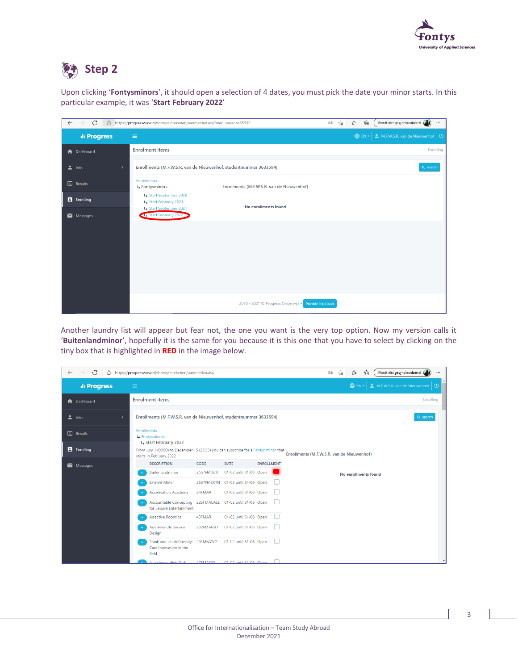

## **Step 2**

Upon clicking '**Fontysminors**', it should open a selection of 4 dates, you must pick the date your minor starts. In this particular example, it was '**Start February 2022**'

| C<br>$\leftarrow$<br>$\rightarrow$  | https://progresswww.nl/fontys/intekenen/aanmelden.asp?menuparent=35335 |                                                     | Wordt niet gesynchroniseerd<br>ど<br>⊕<br>τs<br>аŵ<br>$\cdots$ |
|-------------------------------------|------------------------------------------------------------------------|-----------------------------------------------------|---------------------------------------------------------------|
| ili Progress                        | $\equiv$                                                               |                                                     | <b>O</b> EN -<br>M.F.W.S.R. van de Nieuwenhof   U             |
| <b>A</b> Dashboard                  | <b>Enrolment items</b>                                                 |                                                     | Enrolling                                                     |
| $\frac{1}{2}$ Info<br>$\rightarrow$ | Enrollments (M.F.W.S.R. van de Nieuwenhof, studentnummer 3633594)      |                                                     | Q search                                                      |
| <b>III</b> Results                  | <b>Enrollments</b><br><b>Ly Fontysminors</b>                           | Enrollments (M.F.W.S.R. van de Nieuwenhof)          |                                                               |
| <b>E</b> Enrolling                  | Start September 2020<br>Start February 2021                            | No enrollments found                                |                                                               |
| $\blacksquare$ Messages             | Start September 2021<br>Start February 2022                            |                                                     |                                                               |
|                                     |                                                                        |                                                     |                                                               |
|                                     |                                                                        |                                                     |                                                               |
|                                     |                                                                        |                                                     |                                                               |
|                                     |                                                                        |                                                     |                                                               |
|                                     |                                                                        |                                                     |                                                               |
|                                     |                                                                        | 2018 - 2021 © Progress Onderwijs · Provide feedback |                                                               |

Another laundry list will appear but fear not, the one you want is the very top option. Now my version calls it '**Buitenlandminor**', hopefully it is the same for you because it is this one that you have to select by clicking on the tiny box that is highlighted in **RED** in the image below.

| $\leftarrow$ | $\mathcal{C}$<br>$\rightarrow$<br>A |               | https://progresswww.nl/fontys/intekenen/aanmelden.asp                                                           |                  |                                   |                   |                                            | аぁ | గడ | ร′่≡                  | 庙 | Wordt niet gesynchroniseerd  |           | $\cdots$                 |
|--------------|-------------------------------------|---------------|-----------------------------------------------------------------------------------------------------------------|------------------|-----------------------------------|-------------------|--------------------------------------------|----|----|-----------------------|---|------------------------------|-----------|--------------------------|
|              | ili Progress                        | $\equiv$      |                                                                                                                 |                  |                                   |                   |                                            |    |    | $\bigoplus$ EN $\tau$ |   | M.F.W.S.R. van de Nieuwenhof |           | $\mathcal{L}^{(1)}$      |
|              | <b>A</b> Dashboard                  |               | <b>Enrolment items</b>                                                                                          |                  |                                   |                   |                                            |    |    |                       |   |                              | Enrolling |                          |
| ∸            | Info                                | $\rightarrow$ | Enrollments (M.F.W.S.R. van de Nieuwenhof, studentnummer 3633594)                                               |                  |                                   |                   |                                            |    |    |                       |   |                              | Q search  |                          |
|              | <b>III</b> Results                  |               | <b>Enrollments</b><br>Fontysminors<br>Start February 2022                                                       |                  |                                   |                   |                                            |    |    |                       |   |                              |           |                          |
|              | <b>E</b> Enrolling                  |               | From July 1 (00:00) to December 15 (23:59) you can subscribe for a Fontys minor that<br>starts in February 2022 |                  |                                   |                   | Enrollments (M.F.W.S.R. van de Nieuwenhof) |    |    |                       |   |                              |           |                          |
|              | $\blacksquare$ Messages             |               | <b>DESCRIPTION</b>                                                                                              | <b>CODE</b>      | <b>DATE</b>                       | <b>ENROLLMENT</b> |                                            |    |    |                       |   |                              |           |                          |
|              |                                     |               | Buitenlandminor                                                                                                 | 2557FMBUIT       | 01-02 until 31-08 Open            |                   |                                            |    |    | No enrollments found  |   |                              |           |                          |
|              |                                     |               | <b>Externe Minor</b>                                                                                            |                  | 2557FMEXTN 01-02 until 31-08 Open |                   |                                            |    |    |                       |   |                              |           |                          |
|              |                                     |               | <b>Acceleration Academy</b>                                                                                     | 24FMAA           | 01-02 until 31-08 Open            |                   |                                            |    |    |                       |   |                              |           |                          |
|              |                                     |               | Accountable Concepting 225FMACALE 01-02 until 31-08 Open<br>for Leisure Entertainment                           |                  |                                   |                   |                                            |    |    |                       |   |                              |           |                          |
|              |                                     |               | <b>Adaptive Robotics</b>                                                                                        | 43FMAR           | 01-02 until 31-08 Open            |                   |                                            |    |    |                       |   |                              |           |                          |
|              |                                     |               | <b>Age-Friendly Service</b><br>Design                                                                           | 202FMAFSD        | 01-02 until 31-08 Open            |                   |                                            |    |    |                       |   |                              |           |                          |
|              |                                     |               | Think and act differently; 20FMMZVP<br>Care Innovation in the<br>field                                          |                  | 01-02 until 31-08 Open            |                   |                                            |    |    |                       |   |                              |           |                          |
|              |                                     |               | A cyctame: High Tach                                                                                            | <b>AZEMAASVS</b> | 01-02 until 31-08. Open           |                   |                                            |    |    |                       |   |                              |           | $\overline{\phantom{a}}$ |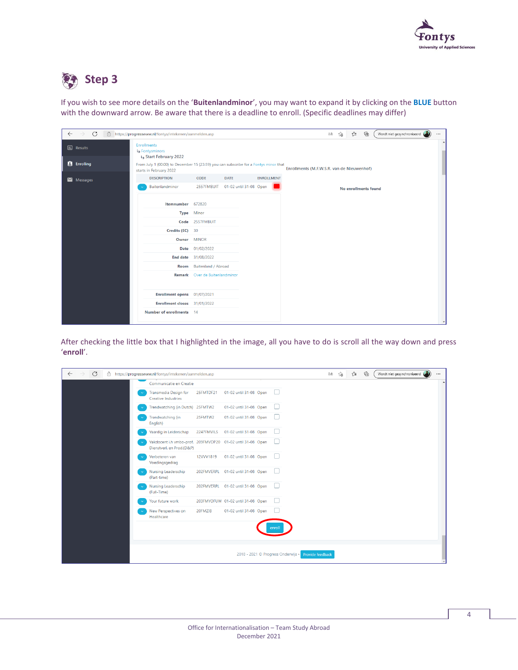

#### C. **Step 3**

If you wish to see more details on the '**Buitenlandminor**', you may want to expand it by clicking on the **BLUE** button with the downward arrow. Be aware that there is a deadline to enroll. (Specific deadlines may differ)

| C<br>$\leftarrow$<br>$\rightarrow$ | https://progresswww.nl/fontys/intekenen/aanmelden.asp                                                           |                                |                        |                   | ⊕<br>Wordt niet gesynchroniseerd<br>ันา<br>as<br>ౕౚ<br>$\cdots$ |
|------------------------------------|-----------------------------------------------------------------------------------------------------------------|--------------------------------|------------------------|-------------------|-----------------------------------------------------------------|
| <b>III</b> Results                 | <b>Enrollments</b><br>Fontysminors<br>Start February 2022                                                       |                                |                        |                   | $\overline{\phantom{a}}$                                        |
| <b>E</b> Enrolling                 | From July 1 (00:00) to December 15 (23:59) you can subscribe for a Fontys minor that<br>starts in February 2022 |                                |                        |                   | Enrollments (M.F.W.S.R. van de Nieuwenhof)                      |
| Messages                           | <b>DESCRIPTION</b>                                                                                              | CODE                           | <b>DATE</b>            | <b>ENROLLMENT</b> |                                                                 |
|                                    | Buitenlandminor                                                                                                 | 2557FMBUIT                     | 01-02 until 31-08 Open |                   | No enrollments found                                            |
|                                    | Itemnumber 672820                                                                                               |                                |                        |                   |                                                                 |
|                                    |                                                                                                                 | Type Minor                     |                        |                   |                                                                 |
|                                    |                                                                                                                 | Code 2557FMBUIT                |                        |                   |                                                                 |
|                                    | Credits (EC) 30                                                                                                 |                                |                        |                   |                                                                 |
|                                    | Owner MINOR                                                                                                     |                                |                        |                   |                                                                 |
|                                    |                                                                                                                 | Date 01/02/2022                |                        |                   |                                                                 |
|                                    |                                                                                                                 | <b>End date</b> 31/08/2022     |                        |                   |                                                                 |
|                                    | Room                                                                                                            | <b>Buitenland / Abroad</b>     |                        |                   |                                                                 |
|                                    |                                                                                                                 | Remark Over de Buitenlandminor |                        |                   |                                                                 |
|                                    | Enrollment opens 01/07/2021                                                                                     |                                |                        |                   |                                                                 |
|                                    | Enrollment closes 31/01/2022                                                                                    |                                |                        |                   |                                                                 |
|                                    | Number of enrollments 14                                                                                        |                                |                        |                   | $\overline{\phantom{a}}$                                        |

After checking the little box that I highlighted in the image, all you have to do is scroll all the way down and press '**enroll**'.

| $\mathcal{C}$<br>$\leftarrow$<br>A<br>$\rightarrow$ | https://progresswww.nl/fontys/intekenen/aanmelden.asp                                   |            |                                   |                                    | as                      | ٢ð | 庙<br>ู่∿ื่≡ | Wordt niet gesynchroniseerd | $\cdots$ |
|-----------------------------------------------------|-----------------------------------------------------------------------------------------|------------|-----------------------------------|------------------------------------|-------------------------|----|-------------|-----------------------------|----------|
|                                                     | Communicatie en Creatie                                                                 |            |                                   |                                    |                         |    |             |                             |          |
|                                                     | Transmedia Design for<br><b>Creative Industries</b>                                     | 25FMTDF21  | 01-02 until 31-08 Open            | $\mathbf{L}$                       |                         |    |             |                             |          |
|                                                     | Trendwatching (in Dutch) 25FMTW2                                                        |            | 01-02 until 31-08 Open            | $\mathbb{R}^n$                     |                         |    |             |                             |          |
|                                                     | Trendwatching (in<br>English)                                                           | 25FMTW2    | 01-02 until 31-08 Open            | $\mathbb{R}^n$                     |                         |    |             |                             |          |
|                                                     | Vaardig in Leiderschap                                                                  | 2247FMVILS | 01-02 until 31-08 Open            |                                    |                         |    |             |                             |          |
|                                                     | Vakdocent i.h vmbo-prof. 209FMVDP20 01-02 until 31-08 Open<br>Dienstverl. en Prod.(D&P) |            |                                   |                                    |                         |    |             |                             |          |
|                                                     | Verbeteren van<br>Voedingsgedrag                                                        | 12VVV1819  | 01-02 until 31-08 Open            | . .                                |                         |    |             |                             |          |
|                                                     | Nursing Leaderschip<br>(Part-time)                                                      |            | 202FMVERPL 01-02 until 31-08 Open | $\mathbf{L}$                       |                         |    |             |                             |          |
|                                                     | Nursing Leaderschip<br>(Full-Time)                                                      |            | 202FMVERPL 01-02 until 31-08 Open | I.                                 |                         |    |             |                             |          |
|                                                     | Your future work                                                                        |            | 203FMYOFUW 01-02 until 31-08 Open | L.                                 |                         |    |             |                             |          |
|                                                     | New Perspectives on<br>Healthcare                                                       | 20FMZIB    | 01-02 until 31-08 Open            | . .                                |                         |    |             |                             |          |
|                                                     |                                                                                         |            |                                   | enrol                              |                         |    |             |                             |          |
|                                                     |                                                                                         |            |                                   |                                    |                         |    |             |                             |          |
|                                                     |                                                                                         |            |                                   | 2018 - 2021 © Progress Onderwijs • | <b>Provide feedback</b> |    |             |                             |          |